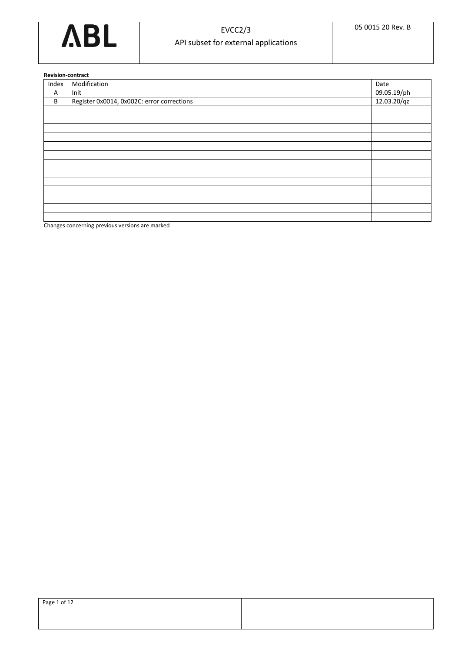

**Revision-contract**

|       | Revision contract                          |             |  |  |  |  |
|-------|--------------------------------------------|-------------|--|--|--|--|
| Index | Modification                               | Date        |  |  |  |  |
| Α     | Init                                       | 09.05.19/ph |  |  |  |  |
| B     | Register 0x0014, 0x002C: error corrections | 12.03.20/qz |  |  |  |  |
|       |                                            |             |  |  |  |  |
|       |                                            |             |  |  |  |  |
|       |                                            |             |  |  |  |  |
|       |                                            |             |  |  |  |  |
|       |                                            |             |  |  |  |  |
|       |                                            |             |  |  |  |  |
|       |                                            |             |  |  |  |  |
|       |                                            |             |  |  |  |  |
|       |                                            |             |  |  |  |  |
|       |                                            |             |  |  |  |  |
|       |                                            |             |  |  |  |  |
|       |                                            |             |  |  |  |  |
|       |                                            |             |  |  |  |  |

Changes concerning previous versions are marked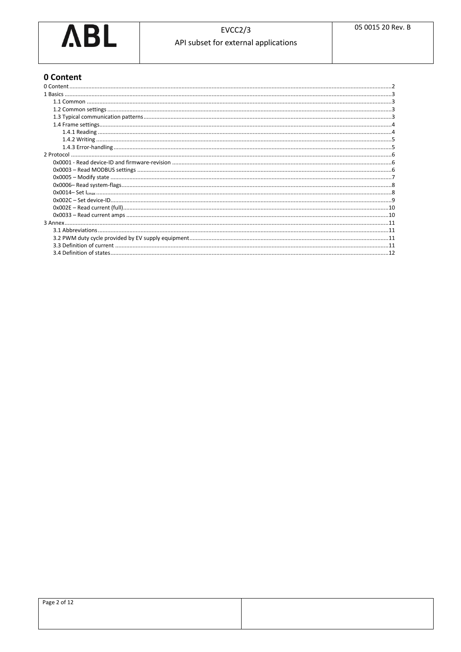

# <span id="page-1-0"></span>0 Content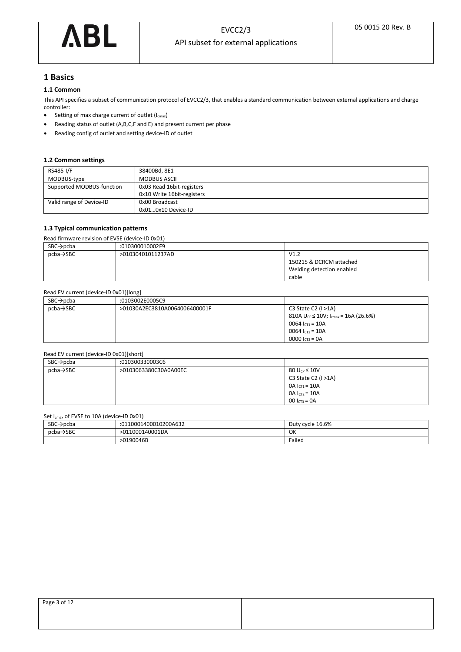

# <span id="page-2-0"></span>**1 Basics**

# <span id="page-2-1"></span>**1.1 Common**

This API specifies a subset of communication protocol of EVCC2/3, that enables a standard communication between external applications and charge controller:

- Setting of max charge current of outlet (I<sub>cmax</sub>)
- Reading status of outlet (A,B,C,F and E) and present current per phase
- Reading config of outlet and setting device-ID of outlet

### <span id="page-2-2"></span>**1.2 Common settings**

| RS485-I/F                 | 38400Bd, 8E1               |
|---------------------------|----------------------------|
| MODBUS-type               | <b>MODBUS ASCII</b>        |
| Supported MODBUS-function | 0x03 Read 16bit-registers  |
|                           | 0x10 Write 16bit-registers |
| Valid range of Device-ID  | 0x00 Broadcast             |
|                           | 0x010x10 Device-ID         |

### <span id="page-2-3"></span>**1.3 Typical communication patterns**

Read firmware revision of EVSE (device-ID 0x01)

| $SBC \rightarrow pcba$ | :010300010002F9   |                           |
|------------------------|-------------------|---------------------------|
| $pcba \rightarrow$ SBC | >01030401011237AD | V1.2                      |
|                        |                   | 150215 & DCRCM attached   |
|                        |                   | Welding detection enabled |
|                        |                   | cable                     |

## Read EV current (device-ID 0x01)[long]

| $SBC \rightarrow pcba$ | :0103002E0005C9               |                                                  |
|------------------------|-------------------------------|--------------------------------------------------|
| $pcba \rightarrow SBC$ | >01030A2EC3810A0064006400001F | C3 State C2 $(I > 1A)$                           |
|                        |                               | 810A $U_{CP} \le 10V$ ; $I_{cmax} = 16A (26.6%)$ |
|                        |                               | 0064 $I_{CT1}$ = 10A                             |
|                        |                               | 0064 $I_{CT2}$ = 10A                             |
|                        |                               | 0000 $l_{\text{CT3}} = 0$ A                      |

### Read EV current (device-ID 0x01)[short]

| $SBC \rightarrow pcba$ | :010300330003C6       |                        |
|------------------------|-----------------------|------------------------|
| $pcba \rightarrow SBC$ | >0103063380C30A0A00EC | 80 $U_{CP} \leq 10V$   |
|                        |                       | C3 State C2 $(I > 1A)$ |
|                        |                       | $OA I_{CT1} = 10A$     |
|                        |                       | $OA I_{CT2} = 10A$     |
|                        |                       | $00 I_{CT3} = 0A$      |

### Set I<sub>cmax</sub> of EVSE to 10A (device-ID 0x01)

| $\frac{1}{2}$ $\frac{1}{2}$ $\frac{1}{2}$ $\frac{1}{2}$ $\frac{1}{2}$ $\frac{1}{2}$ $\frac{1}{2}$ $\frac{1}{2}$ $\frac{1}{2}$ $\frac{1}{2}$ $\frac{1}{2}$ $\frac{1}{2}$ $\frac{1}{2}$ $\frac{1}{2}$ $\frac{1}{2}$ $\frac{1}{2}$ $\frac{1}{2}$ $\frac{1}{2}$ $\frac{1}{2}$ $\frac{1}{2}$ $\frac{1}{2}$ $\frac{1}{2}$ |                       |                  |  |  |  |
|---------------------------------------------------------------------------------------------------------------------------------------------------------------------------------------------------------------------------------------------------------------------------------------------------------------------|-----------------------|------------------|--|--|--|
| SBC-<br>`→pcba                                                                                                                                                                                                                                                                                                      | :0110001400010200A632 | Duty cycle 16.6% |  |  |  |
| $pcba \rightarrow$ SBC<br>>011000140001DA                                                                                                                                                                                                                                                                           |                       | OK               |  |  |  |
|                                                                                                                                                                                                                                                                                                                     | >0190046B             | Failed           |  |  |  |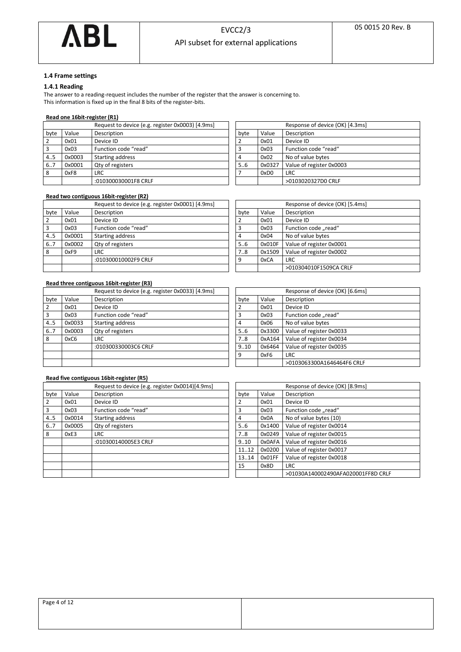

# <span id="page-3-0"></span>**1.4 Frame settings**

# <span id="page-3-1"></span>**1.4.1 Reading**

The answer to a reading-request includes the number of the register that the answer is concerning to. This information is fixed up in the final 8 bits of the register-bits.

### **Read one 16bit-register (R1)**

|               | Request to device (e.g. register 0x0003) [4.9ms] |      |        | Response of device (OK) [4.3ms] |
|---------------|--------------------------------------------------|------|--------|---------------------------------|
| Value<br>byte | Description                                      | byte | Value  | Description                     |
| 0x01          | Device ID                                        |      | 0x01   | Device ID                       |
| 0x03          | Function code "read"                             |      | 0x03   | Function code "read"            |
| 0x0003<br>4.5 | Starting address                                 | 4    | 0x02   | No of value bytes               |
| 6.7<br>0x0001 | Qty of registers                                 | 5.6  | 0x0327 | Value of register 0x0003        |
| 8<br>0xF8     | <b>LRC</b>                                       |      | 0xD0   | <b>LRC</b>                      |
|               | :010300030001F8 CRLF                             |      |        | >0103020327D0 CRLF              |

|                | Response of device (OK) [4.3ms] |                          |  |  |  |
|----------------|---------------------------------|--------------------------|--|--|--|
| byte           | Value                           | Description              |  |  |  |
| $\overline{2}$ | 0x01                            | Device ID                |  |  |  |
| 3              | 0x03                            | Function code "read"     |  |  |  |
| 4              | 0x02                            | No of value bytes        |  |  |  |
| 5.6            | 0x0327                          | Value of register 0x0003 |  |  |  |
| $\overline{7}$ | 0xD0                            | <b>LRC</b>               |  |  |  |
|                |                                 | >0103020327D0 CRLF       |  |  |  |

### **Read two contiguous 16bit-register (R2)**

|                |        | Request to device (e.g. register 0x0001) [4.9ms] |      |        | Response of device (OK) [5.4ms] |
|----------------|--------|--------------------------------------------------|------|--------|---------------------------------|
| byte           | Value  | Description                                      | byte | Value  | Description                     |
| $\cdot$ 2      | 0x01   | Device ID                                        |      | 0x01   | Device ID                       |
| $\overline{3}$ | 0x03   | Function code "read"                             |      | 0x03   | Function code "read"            |
| 4.5            | 0x0001 | Starting address                                 | 4    | 0x04   | No of value bytes               |
| 6.7            | 0x0002 | Qty of registers                                 | 5.6  | 0x010F | Value of register 0x0001        |
| 8              | 0xF9   | <b>LRC</b>                                       | 7.8  | 0x1509 | Value of register 0x0002        |
|                |        | :010300010002F9 CRLF                             | q    | 0xCA   | <b>LRC</b>                      |
|                |        |                                                  |      |        | >010304010F1509CA CRLF          |

|               | Response of device (OK) [5.4ms] |                          |  |  |
|---------------|---------------------------------|--------------------------|--|--|
| byte          | Value                           | Description              |  |  |
| $\mathcal{P}$ | 0x01                            | Device ID                |  |  |
| 3             | 0x03                            | Function code "read"     |  |  |
| 4             | 0x04                            | No of value bytes        |  |  |
| 5.6           | 0x010F                          | Value of register 0x0001 |  |  |
| 7.8           | 0x1509                          | Value of register 0x0002 |  |  |
| 9             | 0xCA                            | LRC                      |  |  |
|               |                                 | >010304010F1509CA CRLF   |  |  |

## **Read three contiguous 16bit-register (R3)**

|      |        | Request to device (e.g. register 0x0033) [4.9ms] |      |        | Response   |
|------|--------|--------------------------------------------------|------|--------|------------|
| byte | Value  | Description                                      | byte | Value  | Descriptio |
| 2    | 0x01   | Device ID                                        |      | 0x01   | Device ID  |
| 3    | 0x03   | Function code "read"                             | 3    | 0x03   | Function   |
| 4.5  | 0x0033 | Starting address                                 | 4    | 0x06   | No of val  |
| 67   | 0x0003 | Qty of registers                                 | 56   | 0x3300 | Value of i |
| 8    | 0xC6   | <b>LRC</b>                                       | 7.8  | 0xA164 | Value of i |
|      |        | :010300330003C6 CRLF                             | 9.10 | 0x6464 | Value of i |
|      |        |                                                  | 9    | 0xF6   | <b>LRC</b> |
|      |        |                                                  |      |        | >010306    |

# Response of device (OK) [6.6ms] byte Value Description 3 0x03 Function code "read" 4 0x06 No of value bytes 5..6 **0x3300** Value of register 0x0033 7..8 0xA164 Value of register 0x0034<br>9..10 0x6464 Value of register 0x0035 0x6464 Value of register 0x0035 9 0xF6 LRC >0103063300A1646464F6 CRLF

## **Read five contiguous 16bit-register (R5)**

|      |        | Request to device (e.g. register 0x0014) 4.9ms |       |        | Response of device (OK)  |
|------|--------|------------------------------------------------|-------|--------|--------------------------|
| byte | Value  | Description                                    | byte  | Value  | Description              |
|      | 0x01   | Device ID                                      |       | 0x01   | Device ID                |
| 3    | 0x03   | Function code "read"                           | 3     | 0x03   | Function code "read"     |
| 4.5  | 0x0014 | Starting address                               | 4     | 0x0A   | No of value bytes (10)   |
| 67   | 0x0005 | Qty of registers                               | 56    | 0x1400 | Value of register 0x0014 |
| 8    | 0xE3   | LRC.                                           | 7.8   | 0x0249 | Value of register 0x0015 |
|      |        | :010300140005E3 CRLF                           | 9.10  | 0x0AFA | Value of register 0x0016 |
|      |        |                                                | 1112  | 0x0200 | Value of register 0x0017 |
|      |        |                                                | 13.14 | 0x01FF | Value of register 0x0018 |
|      |        |                                                | 15    | 0x8D   | <b>LRC</b>               |
|      |        |                                                |       |        | >01030A140002490AFA      |

| Request to device (e.g. register 0x0014)[4.9ms] |       |        | Response of device (OK) [8.9ms]    |
|-------------------------------------------------|-------|--------|------------------------------------|
| Description                                     | byte  | Value  | Description                        |
| Device ID                                       |       | 0x01   | Device ID                          |
| Function code "read"                            | 3     | 0x03   | Function code "read"               |
| <b>Starting address</b>                         | 4     | 0x0A   | No of value bytes (10)             |
| Qty of registers                                | 56    | 0x1400 | Value of register 0x0014           |
| LRC                                             | 78    | 0x0249 | Value of register 0x0015           |
| :010300140005E3 CRLF                            | 9.10  | 0x0AFA | Value of register 0x0016           |
|                                                 | 1112  | 0x0200 | Value of register 0x0017           |
|                                                 | 13.14 | 0x01FF | Value of register 0x0018           |
|                                                 | 15    | 0x8D   | <b>LRC</b>                         |
|                                                 |       |        | >01030A140002490AFA020001FF8D CRLF |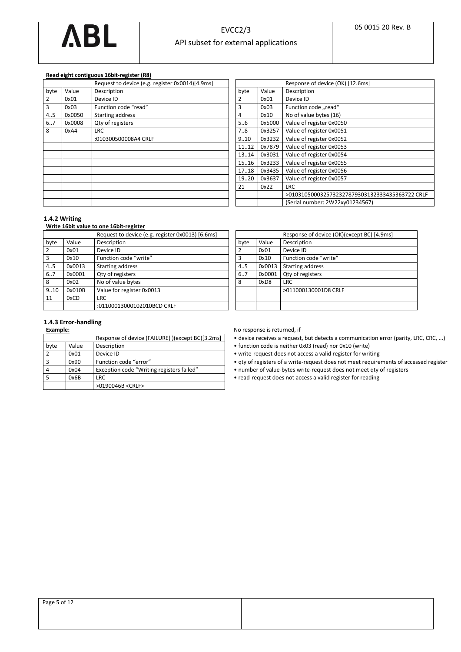

### **Read eight contiguous 16bit-register (R8)**

|                |        | Request to device (e.g. register 0x0014)[4.9ms] |       |        | Response of device (OK) [12.6ms] |
|----------------|--------|-------------------------------------------------|-------|--------|----------------------------------|
| byte           | Value  | Description                                     | byte  | Value  | Description                      |
| $\overline{2}$ | 0x01   | Device ID                                       |       | 0x01   | Device ID                        |
| 3              | 0x03   | Function code "read"                            | 3     | 0x03   | Function code "read"             |
| 4.5            | 0x0050 | <b>Starting address</b>                         | 4     | 0x10   | No of value bytes (16)           |
| 67             | 0x0008 | Qty of registers                                | 56    | 0x5000 | Value of register 0x0050         |
| 8              | 0xA4   | <b>LRC</b>                                      | 7.8   | 0x3257 | Value of register 0x0051         |
|                |        | :010300500008A4 CRLF                            | 9.10  | 0x3232 | Value of register 0x0052         |
|                |        |                                                 | 1112  | 0x7879 | Value of register 0x0053         |
|                |        |                                                 | 13.14 | 0x3031 | Value of register 0x0054         |
|                |        |                                                 | 15.16 | 0x3233 | Value of register 0x0055         |
|                |        |                                                 | 17.18 | 0x3435 | Value of register 0x0056         |
|                |        |                                                 | 19.20 | 0x3637 | Value of register 0x0057         |
|                |        |                                                 | 21    | 0x22   | <b>LRC</b>                       |
|                |        |                                                 |       |        | >01031050003257323278793031      |
|                |        |                                                 |       |        | Serial number: 2W22xy0123456     |

|                         |        | Response of device (OK) [12.6ms]               |
|-------------------------|--------|------------------------------------------------|
| byte                    | Value  | Description                                    |
| $\overline{2}$          | 0x01   | Device ID                                      |
| $\overline{\mathbf{3}}$ | 0x03   | Function code "read"                           |
| $\overline{4}$          | 0x10   | No of value bytes (16)                         |
| 5.6                     | 0x5000 | Value of register 0x0050                       |
| 7.8                     | 0x3257 | Value of register 0x0051                       |
| 9.10                    | 0x3232 | Value of register 0x0052                       |
| 1112                    | 0x7879 | Value of register 0x0053                       |
| 13.14                   | 0x3031 | Value of register 0x0054                       |
| 15.16                   | 0x3233 | Value of register 0x0055                       |
| 17.18                   | 0x3435 | Value of register 0x0056                       |
| 19.20                   | 0x3637 | Value of register 0x0057                       |
| 21                      | 0x22   | <b>LRC</b>                                     |
|                         |        | >0103105000325732327879303132333435363722 CRLF |
|                         |        | (Serial number: 2W22xy01234567)                |

### <span id="page-4-0"></span>**1.4.2 Writing**

## **Write 16bit value to one 16bit-register**

|                |        | Request to device (e.g. register 0x0013) [6.6ms] |      |        | Response of device (OK) |
|----------------|--------|--------------------------------------------------|------|--------|-------------------------|
| byte           | Value  | Description                                      | byte | Value  | Description             |
| $\overline{2}$ | 0x01   | Device ID                                        |      | 0x01   | Device ID               |
| $\overline{3}$ | 0x10   | Function code "write"                            |      | 0x10   | Function code "write"   |
| 4.5            | 0x0013 | Starting address                                 | 4.5  | 0x0013 | Starting address        |
| 67             | 0x0001 | Qty of registers                                 | 6.7  | 0x0001 | Qty of registers        |
| 8              | 0x02   | No of value bytes                                | 8    | 0xD8   | <b>LRC</b>              |
| 9.10           | 0x010B | Value for register 0x0013                        |      |        | >011000130001D8 CRLF    |
| 11             | 0xCD   | <b>LRC</b>                                       |      |        |                         |
|                |        | :01100013000102010BCD CRLF                       |      |        |                         |

| Request to device (e.g. register 0x0013) [6.6ms] |      |        | Response of device (OK)(except BC) [4.9ms] |
|--------------------------------------------------|------|--------|--------------------------------------------|
| Description                                      | byte | Value  | Description                                |
| Device ID                                        |      | 0x01   | Device ID                                  |
| Function code "write"                            | 3    | 0x10   | Function code "write"                      |
| <b>Starting address</b>                          | 45   | 0x0013 | Starting address                           |
| Qty of registers                                 | 67   | 0x0001 | Qty of registers                           |
| No of value bytes                                | 8    | 0xD8   | <b>LRC</b>                                 |
| Value for register 0x0013                        |      |        | >011000130001D8 CRLF                       |
| LRC                                              |      |        |                                            |
| :01100013000102010BCD CRLF                       |      |        |                                            |
|                                                  |      |        |                                            |

# <span id="page-4-1"></span>**1.4.3 Error-handling**

|               |       | Response of device (FAILURE) )(except BC)[3.2ms] |
|---------------|-------|--------------------------------------------------|
| byte          | Value | Description                                      |
| $\mathcal{P}$ | 0x01  | Device ID                                        |
| 3             | 0x90  | Function code "error"                            |
| 4             | 0x04  | Exception code "Writing registers failed"        |
|               | 0x6B  | <b>LRC</b>                                       |
|               |       | >0190046B <crlf></crlf>                          |

**Example:** No response is returned, if

- device receives a request, but detects a communication error (parity, LRC, CRC, ...)
- function code is neither 0x03 (read) nor 0x10 (write)
- write-request does not access a valid register for writing

• qty of registers of a write-request does not meet requirements of accessed register

- number of value-bytes write-request does not meet qty of registers
- read-request does not access a valid register for reading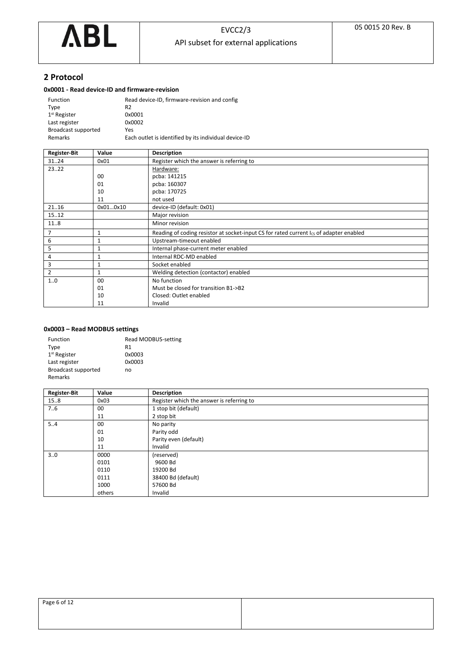

# <span id="page-5-0"></span>**2 Protocol**

# <span id="page-5-1"></span>**0x0001 - Read device-ID and firmware-revision**

| Function            | Read device-ID, firmware-revision and config          |
|---------------------|-------------------------------------------------------|
| Type                | R <sub>2</sub>                                        |
| $1st$ Register      | 0x0001                                                |
| Last register       | 0x0002                                                |
| Broadcast supported | Yes                                                   |
| Remarks             | Each outlet is identified by its individual device-ID |

| <b>Register-Bit</b> | Value    | <b>Description</b>                                                                          |
|---------------------|----------|---------------------------------------------------------------------------------------------|
| 3124                | 0x01     | Register which the answer is referring to                                                   |
| 23.22               |          | Hardware:                                                                                   |
|                     | 00       | pcba: 141215                                                                                |
|                     | 01       | pcba: 160307                                                                                |
|                     | 10       | pcba: 170725                                                                                |
|                     | 11       | not used                                                                                    |
| 21.16               | 0x010x10 | device-ID (default: 0x01)                                                                   |
| 15.12               |          | Major revision                                                                              |
| 11.8                |          | Minor revision                                                                              |
| 7                   | 1        | Reading of coding resistor at socket-input CS for rated current $I_{CS}$ of adapter enabled |
| 6                   | 1        | Upstream-timeout enabled                                                                    |
| 5                   | 1        | Internal phase-current meter enabled                                                        |
| 4                   | 1        | Internal RDC-MD enabled                                                                     |
| 3                   | 1        | Socket enabled                                                                              |
| 2                   | 1        | Welding detection (contactor) enabled                                                       |
| 10                  | 00       | No function                                                                                 |
|                     | 01       | Must be closed for transition B1->B2                                                        |
|                     | 10       | Closed: Outlet enabled                                                                      |
|                     | 11       | Invalid                                                                                     |

# <span id="page-5-2"></span>**0x0003 – Read MODBUS settings**

| Function                   | Read MODBUS-setting |
|----------------------------|---------------------|
| Type                       | R1                  |
| 1 <sup>st</sup> Register   | 0x0003              |
| Last register              | 0x0003              |
| <b>Broadcast supported</b> | no                  |
| Remarks                    |                     |

| <b>Register-Bit</b> | Value  | <b>Description</b>                        |
|---------------------|--------|-------------------------------------------|
| 15.8                | 0x03   | Register which the answer is referring to |
| 7.6                 | 00     | 1 stop bit (default)                      |
|                     | 11     | 2 stop bit                                |
| 54                  | 00     | No parity                                 |
|                     | 01     | Parity odd                                |
|                     | 10     | Parity even (default)                     |
|                     | 11     | Invalid                                   |
| 30                  | 0000   | (reserved)                                |
|                     | 0101   | 9600 Bd                                   |
|                     | 0110   | 19200 Bd                                  |
|                     | 0111   | 38400 Bd (default)                        |
|                     | 1000   | 57600 Bd                                  |
|                     | others | Invalid                                   |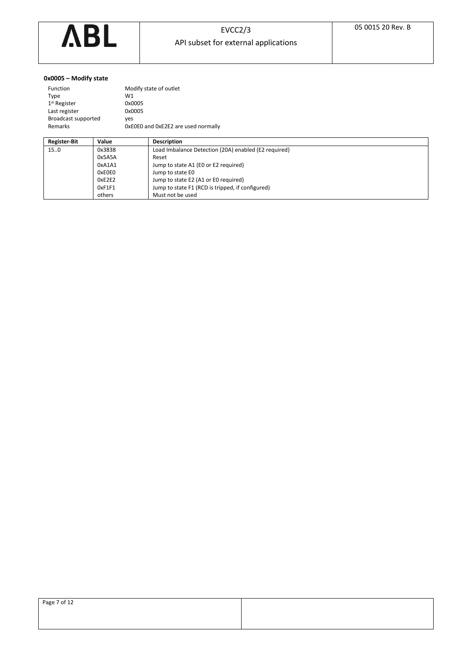

# <span id="page-6-0"></span>**0x0005 – Modify state**

| Function            | Modify state of outlet              |
|---------------------|-------------------------------------|
| Type                | W1                                  |
| $1st$ Register      | 0x0005                              |
| Last register       | 0x0005                              |
| Broadcast supported | ves                                 |
| Remarks             | OxEOEO and OxE2E2 are used normally |
|                     |                                     |

| <b>Register-Bit</b> | Value  | <b>Description</b>                                   |
|---------------------|--------|------------------------------------------------------|
| 15.0                | 0x3838 | Load Imbalance Detection (20A) enabled (E2 required) |
|                     | 0x5A5A | Reset                                                |
|                     | 0xA1A1 | Jump to state A1 (E0 or E2 required)                 |
|                     | 0xE0E0 | Jump to state E0                                     |
|                     | 0xE2E2 | Jump to state E2 (A1 or E0 required)                 |
|                     | 0xF1F1 | Jump to state F1 (RCD is tripped, if configured)     |
|                     | others | Must not be used                                     |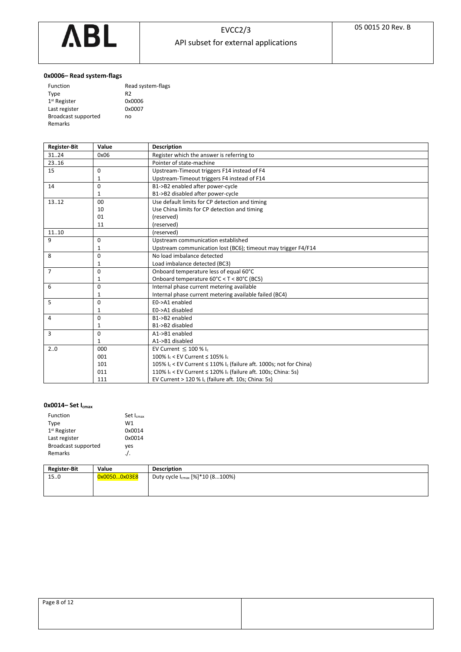

# <span id="page-7-0"></span>**0x0006– Read system-flags**

| Function                   | Read system-flags |
|----------------------------|-------------------|
| Type                       | R <sub>2</sub>    |
| $1st$ Register             | 0x0006            |
| Last register              | 0x0007            |
| <b>Broadcast supported</b> | no                |
| Remarks                    |                   |

| <b>Register-Bit</b> | Value        | <b>Description</b>                                                       |
|---------------------|--------------|--------------------------------------------------------------------------|
| 3124                | 0x06         | Register which the answer is referring to                                |
| 23.16               |              | Pointer of state-machine                                                 |
| 15                  | $\Omega$     | Upstream-Timeout triggers F14 instead of F4                              |
|                     | 1            | Upstream-Timeout triggers F4 instead of F14                              |
| 14                  | $\Omega$     | B1->B2 enabled after power-cycle                                         |
|                     | 1            | B1->B2 disabled after power-cycle                                        |
| 13.12               | 00           | Use default limits for CP detection and timing                           |
|                     | 10           | Use China limits for CP detection and timing                             |
|                     | 01           | (reserved)                                                               |
|                     | 11           | (reserved)                                                               |
| 1110                |              | (reserved)                                                               |
| 9                   | 0            | Upstream communication established                                       |
|                     | 1            | Upstream communication lost (BC6); timeout may trigger F4/F14            |
| 8                   | 0            | No load imbalance detected                                               |
|                     | 1            | Load imbalance detected (BC3)                                            |
| $\overline{7}$      | $\Omega$     | Onboard temperature less of equal 60°C                                   |
|                     | $\mathbf{1}$ | Onboard temperature 60°C < T < 80°C (BC5)                                |
| 6                   | $\Omega$     | Internal phase current metering available                                |
|                     | 1            | Internal phase current metering available failed (BC4)                   |
| 5                   | 0            | E0->A1 enabled                                                           |
|                     | 1            | E0->A1 disabled                                                          |
| 4                   | 0            | B1->B2 enabled                                                           |
|                     | 1            | B1->B2 disabled                                                          |
| 3                   | 0            | A1->B1 enabled                                                           |
|                     | 1            | A1->B1 disabled                                                          |
| 20                  | 000          | EV Current $\leq 100\%$ Ic                                               |
|                     | 001          | 100% $I_c$ < EV Current $\leq$ 105% $I_c$                                |
|                     | 101          | 105% Ic < EV Current ≤ 110% Ic (failure aft. 1000s; not for China)       |
|                     | 011          | 110% $I_c$ < EV Current $\leq$ 120% $I_c$ (failure aft. 100s; China: 5s) |
|                     | 111          | EV Current $>$ 120 % I <sub>c</sub> (failure aft. 10s; China: 5s)        |

# <span id="page-7-1"></span>**0x0014– Set Icmax**

| Function                 |       | Set I <sub>cmax</sub> |                    |
|--------------------------|-------|-----------------------|--------------------|
| Type                     |       | W1                    |                    |
| 1 <sup>st</sup> Register |       | 0x0014                |                    |
| Last register            |       | 0x0014                |                    |
| Broadcast supported      |       | yes                   |                    |
| Remarks                  |       | $\cdot$ / $\cdot$     |                    |
|                          |       |                       |                    |
| Register Rit             | Value |                       | <b>Description</b> |

| <b>Register-Bit</b> | Value        | <b>Description</b>                          |
|---------------------|--------------|---------------------------------------------|
| 150                 | 0x00500x03E8 | Duty cycle I <sub>cmax</sub> [%]*10 (8100%) |
|                     |              |                                             |
|                     |              |                                             |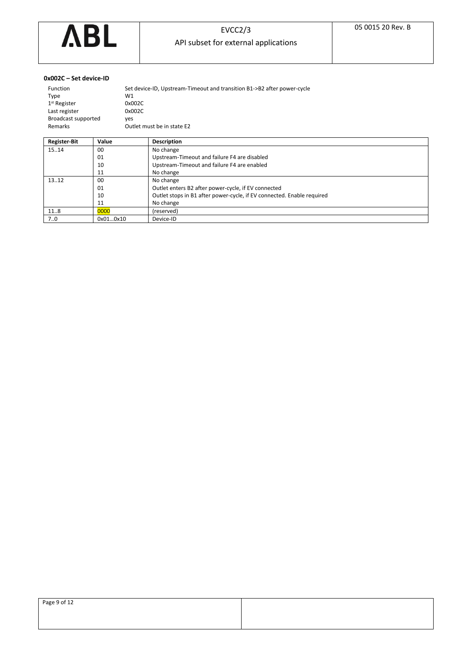

### <span id="page-8-0"></span>**0x002C – Set device-ID**

Remarks

| Function                 | Set device-ID, Upstream-Timeout and transition B1->B2 after power-cycle |
|--------------------------|-------------------------------------------------------------------------|
| Tvpe                     | W1                                                                      |
| 1 <sup>st</sup> Register | 0x002C                                                                  |
| Last register            | 0x002C                                                                  |
| Broadcast supported      | ves                                                                     |
| Remarks                  | Outlet must be in state E2                                              |

| <b>Register-Bit</b> | Value    | <b>Description</b>                                                     |
|---------------------|----------|------------------------------------------------------------------------|
| 15.14               | 00       | No change                                                              |
|                     | 01       | Upstream-Timeout and failure F4 are disabled                           |
|                     | 10       | Upstream-Timeout and failure F4 are enabled                            |
|                     | 11       | No change                                                              |
| 13.12               | 00       | No change                                                              |
|                     | 01       | Outlet enters B2 after power-cycle, if EV connected                    |
|                     | 10       | Outlet stops in B1 after power-cycle, if EV connected. Enable required |
|                     | 11       | No change                                                              |
| 11.8                | 0000     | (reserved)                                                             |
| 70                  | 0x010x10 | Device-ID                                                              |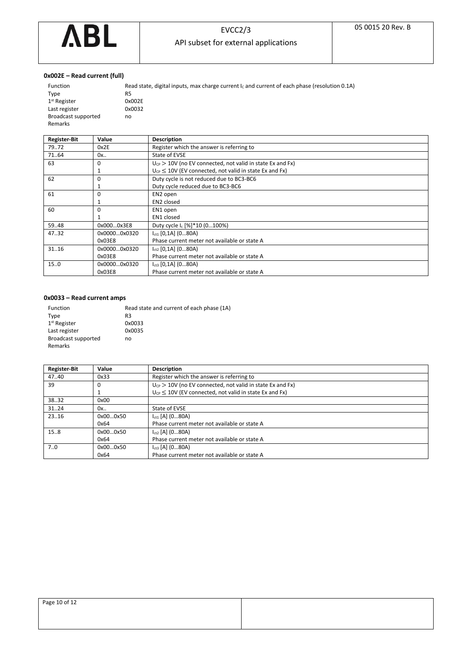

# EVCC2/3

API subset for external applications

## <span id="page-9-0"></span>**0x002E – Read current (full)**

Remarks

| Function            | Read state, digital inputs, max charge current $I_c$ and current of each phase (resolution 0.1A) |
|---------------------|--------------------------------------------------------------------------------------------------|
| Type                | R5                                                                                               |
| $1st$ Register      | 0x002E                                                                                           |
| Last register       | 0x0032                                                                                           |
| Broadcast supported | no                                                                                               |
| Remarks             |                                                                                                  |

| <b>Register-Bit</b> | Value        | <b>Description</b>                                             |
|---------------------|--------------|----------------------------------------------------------------|
| 7972                | 0x2E         | Register which the answer is referring to                      |
| 71.64               | 0x           | State of EVSE                                                  |
| 63                  | 0            | $U_{CP}$ > 10V (no EV connected, not valid in state Ex and Fx) |
|                     |              | $U_{CP} \leq 10V$ (EV connected, not valid in state Ex and Fx) |
| 62                  | 0            | Duty cycle is not reduced due to BC3-BC6                       |
|                     |              | Duty cycle reduced due to BC3-BC6                              |
| 61                  | 0            | EN2 open                                                       |
|                     |              | EN <sub>2</sub> closed                                         |
| 60                  | 0            | EN1 open                                                       |
|                     |              | EN1 closed                                                     |
| 59.48               | 0x0000x3E8   | Duty cycle I <sub>c</sub> [%]*10 (0100%)                       |
| 47.32               | 0x00000x0320 | Ict1 [0,1A] (080A)                                             |
|                     | 0x03E8       | Phase current meter not available or state A                   |
| 3116                | 0x00000x0320 | $I_{ct2}$ [0,1A] (080A)                                        |
|                     | 0x03E8       | Phase current meter not available or state A                   |
| 15.0                | 0x00000x0320 | $I_{ct3}$ [0,1A] (080A)                                        |
|                     | 0x03E8       | Phase current meter not available or state A                   |

### <span id="page-9-1"></span>**0x0033 – Read current amps**

| <b>Function</b>     | Read state and current of each phase (1A) |
|---------------------|-------------------------------------------|
| Type                | R3                                        |
| $1st$ Register      | 0x0033                                    |
| Last register       | 0x0035                                    |
| Broadcast supported | no                                        |
| Remarks             |                                           |

| <b>Register-Bit</b> | Value    | <b>Description</b>                                             |
|---------------------|----------|----------------------------------------------------------------|
| 47.40               | 0x33     | Register which the answer is referring to                      |
| 39                  | 0        | $U_{CP}$ > 10V (no EV connected, not valid in state Ex and Fx) |
|                     |          | $U_{CP} \leq 10V$ (EV connected, not valid in state Ex and Fx) |
| 38.32               | 0x00     |                                                                |
| 31.24               | 0x       | State of EVSE                                                  |
| 23.16               | 0x000x50 | $I_{\text{ct1}}$ [A] (080A)                                    |
|                     | 0x64     | Phase current meter not available or state A                   |
| 15.8                | 0x000x50 | $I_{ct2}$ [A] (080A)                                           |
|                     | 0x64     | Phase current meter not available or state A                   |
| 7.0                 | 0x000x50 | $I_{ct3}$ [A] (080A)                                           |
|                     | 0x64     | Phase current meter not available or state A                   |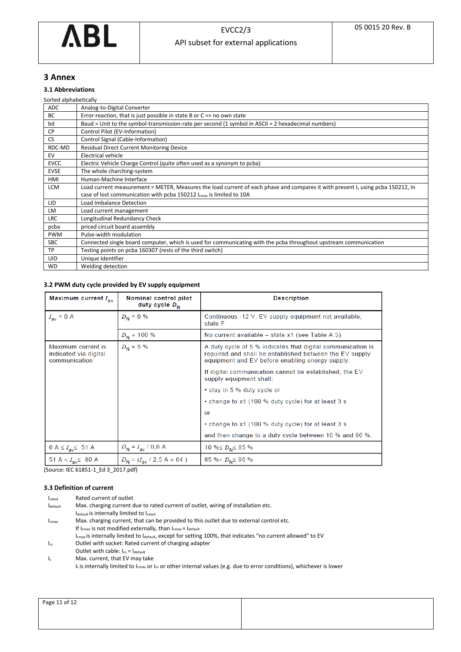

# <span id="page-10-0"></span>**3 Annex**

# <span id="page-10-1"></span>**3.1 Abbreviations**

| Sorted alphabetically |                                                                                                                                             |
|-----------------------|---------------------------------------------------------------------------------------------------------------------------------------------|
| ADC                   | Analog-to-Digital Converter                                                                                                                 |
| BC                    | Error-reaction, that is just possible in state B or $C \Rightarrow$ no own state                                                            |
| bd                    | Baud = Unit to the symbol-transmission-rate per second (1 symbol in ASCII = 2 hexadecimal numbers)                                          |
| <b>CP</b>             | Control Pilot (EV-Information)                                                                                                              |
| <b>CS</b>             | Control Signal (Cable-Information)                                                                                                          |
| RDC-MD                | <b>Residual Direct Current Monitoring Device</b>                                                                                            |
| EV                    | <b>Electrical vehicle</b>                                                                                                                   |
| <b>EVCC</b>           | Electric Vehicle Charge Control (quite often used as a synonym to pcba)                                                                     |
| <b>EVSE</b>           | The whole charching-system                                                                                                                  |
| HMI                   | Human-Machine Interface                                                                                                                     |
| <b>LCM</b>            | Load current measurement = METER, Measures the load current of each phase and compares it with present I <sub>c</sub> using pcba 150212, In |
|                       | case of lost communication with pcba 150212 I <sub>cmax</sub> is limited to 10A                                                             |
| LID                   | Load Imbalance Detection                                                                                                                    |
| <b>LM</b>             | Load current management                                                                                                                     |
| <b>LRC</b>            | Longitudinal Redundancy Check                                                                                                               |
| pcba                  | priced circuit board assembly                                                                                                               |
| <b>PWM</b>            | Pulse-width modulation                                                                                                                      |
| <b>SBC</b>            | Connected single board computer, which is used for communicating with the pcba throughout upstream communication                            |
| TP                    | Testing points on pcba 160307 (rests of the third switch)                                                                                   |
| UID                   | Unique Identifier                                                                                                                           |
| <b>WD</b>             | Welding detection                                                                                                                           |
|                       |                                                                                                                                             |

# <span id="page-10-2"></span>**3.2 PWM duty cycle provided by EV supply equipment**

| Maximum current $I_{\text{av}}$                              | Nominal control pilot<br>duty cycle $D_{\scriptscriptstyle{M}}$ | <b>Description</b>                                                                                                                                                        |
|--------------------------------------------------------------|-----------------------------------------------------------------|---------------------------------------------------------------------------------------------------------------------------------------------------------------------------|
| $I_{av} = 0$ A                                               | $D_{\rm N} = 0$ %                                               | Continuous -12 V, EV supply equipment not available;<br>state F                                                                                                           |
|                                                              | $D_{\rm N}$ = 100 %                                             | No current available - state x1 (see Table A.5)                                                                                                                           |
| Maximum current is<br>indicated via digital<br>communication | $D_{\rm N} = 5$ %                                               | A duty cycle of 5 % indicates that digital communication is<br>required and shall be established between the EV supply<br>equipment and EV before enabling energy supply. |
|                                                              |                                                                 | If digital communication cannot be established, the EV<br>supply equipment shall:                                                                                         |
|                                                              |                                                                 | • stay in 5 % duty cycle or                                                                                                                                               |
|                                                              |                                                                 | • change to x1 (100 % duty cycle) for at least 3 s                                                                                                                        |
|                                                              |                                                                 | or                                                                                                                                                                        |
|                                                              |                                                                 | • change to x1 (100 % duty cycle) for at least 3 s                                                                                                                        |
|                                                              |                                                                 | and then change to a duty cycle between 10 % and 96 %.                                                                                                                    |
| 6 A $\leq I_{av} \leq 51$ A                                  | $D_{N} = I_{av} / 0.6 A$                                        | 10 % $D_N \leq 85$ %                                                                                                                                                      |
| 51 A < $I_{av}$ \$ 80 A                                      | $D_N = (I_{av} / 2.5 A + 64)$                                   | 85 % < $D_N \le 96$ %                                                                                                                                                     |

(Source: IEC 61851-1\_Ed 3\_2017.pdf)

# <span id="page-10-3"></span>**3.3 Definition of current**

| <b>I</b> rated | Rated current of outlet                                                                                                              |
|----------------|--------------------------------------------------------------------------------------------------------------------------------------|
| Idefault       | Max. charging current due to rated current of outlet, wiring of installation etc.                                                    |
|                | Idefault is internally limited to Irated                                                                                             |
| Icmax          | Max. charging current, that can be provided to this outlet due to external control etc.                                              |
|                | If I <sub>cmax</sub> is not modified externally, than I <sub>cmax</sub> = I <sub>default</sub>                                       |
|                | $I_{\text{cmax}}$ is internally limited to l <sub>default</sub> , except for setting 100%, that indicates "no current allowed" to EV |
| $\log$         | Outlet with socket: Rated current of charging adapter                                                                                |
|                | Outlet with cable: $I_{cs} = I_{default}$                                                                                            |
| $\mathbf{I}$   | Max. current, that EV may take                                                                                                       |
|                | $I_c$ is internally limited to $I_{cmax}$ or $I_{cs}$ or other internal values (e.g. due to error conditions), whichever is lower    |

| Page 11 of 12 |  |
|---------------|--|
|               |  |